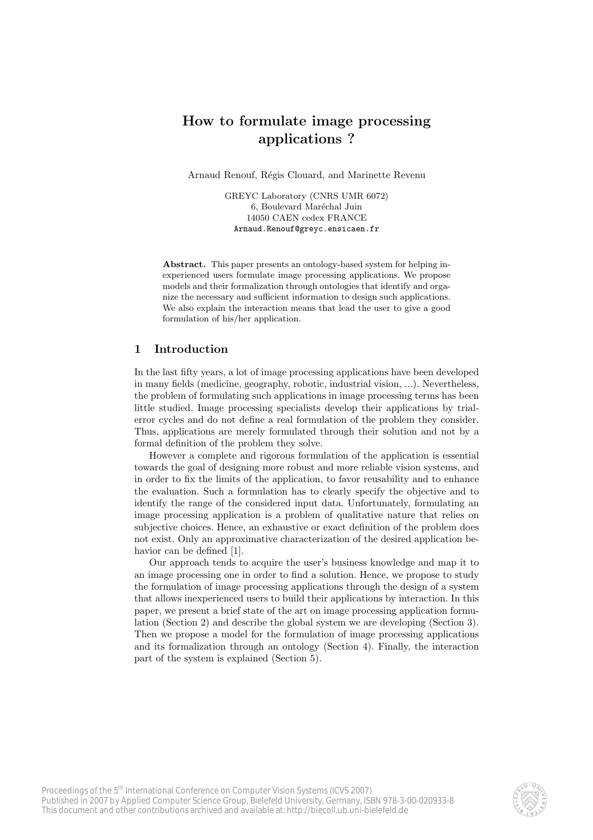# How to formulate image processing applications ?

Arnaud Renouf, Régis Clouard, and Marinette Revenu

GREYC Laboratory (CNRS UMR 6072) 6, Boulevard Maréchal Juin 14050 CAEN cedex FRANCE Arnaud.Renouf@greyc.ensicaen.fr

Abstract. This paper presents an ontology-based system for helping inexperienced users formulate image processing applications. We propose models and their formalization through ontologies that identify and organize the necessary and sufficient information to design such applications. We also explain the interaction means that lead the user to give a good formulation of his/her application.

# 1 Introduction

In the last fifty years, a lot of image processing applications have been developed in many fields (medicine, geography, robotic, industrial vision, ...). Nevertheless, the problem of formulating such applications in image processing terms has been little studied. Image processing specialists develop their applications by trialerror cycles and do not define a real formulation of the problem they consider. Thus, applications are merely formulated through their solution and not by a formal definition of the problem they solve.

However a complete and rigorous formulation of the application is essential towards the goal of designing more robust and more reliable vision systems, and in order to fix the limits of the application, to favor reusability and to enhance the evaluation. Such a formulation has to clearly specify the objective and to identify the range of the considered input data. Unfortunately, formulating an image processing application is a problem of qualitative nature that relies on subjective choices. Hence, an exhaustive or exact definition of the problem does not exist. Only an approximative characterization of the desired application behavior can be defined [1].

Our approach tends to acquire the user's business knowledge and map it to an image processing one in order to find a solution. Hence, we propose to study the formulation of image processing applications through the design of a system that allows inexperienced users to build their applications by interaction. In this paper, we present a brief state of the art on image processing application formulation (Section 2) and describe the global system we are developing (Section 3). Then we propose a model for the formulation of image processing applications and its formalization through an ontology (Section 4). Finally, the interaction part of the system is explained (Section 5).

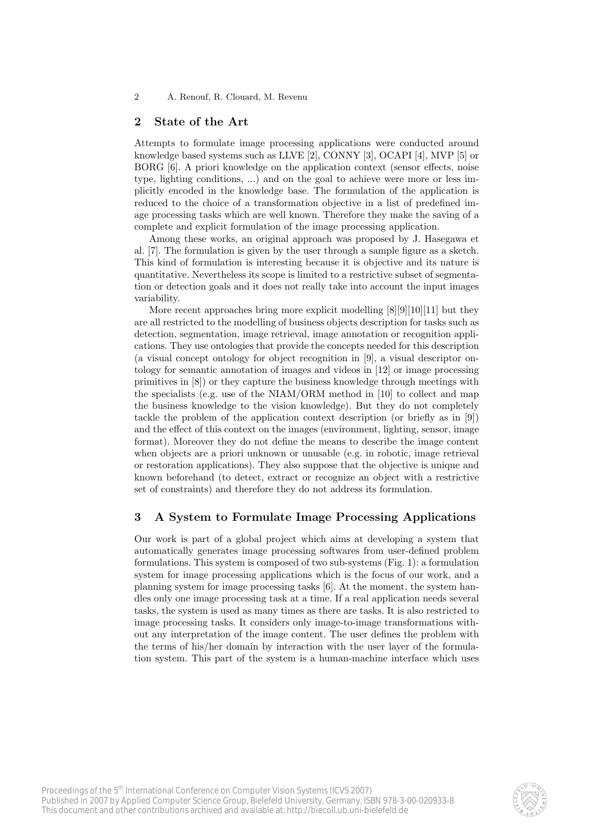## 2 State of the Art

Attempts to formulate image processing applications were conducted around knowledge based systems such as LLVE [2], CONNY [3], OCAPI [4], MVP [5] or BORG [6]. A priori knowledge on the application context (sensor effects, noise type, lighting conditions, ...) and on the goal to achieve were more or less implicitly encoded in the knowledge base. The formulation of the application is reduced to the choice of a transformation objective in a list of predefined image processing tasks which are well known. Therefore they make the saving of a complete and explicit formulation of the image processing application.

Among these works, an original approach was proposed by J. Hasegawa et al. [7]. The formulation is given by the user through a sample figure as a sketch. This kind of formulation is interesting because it is objective and its nature is quantitative. Nevertheless its scope is limited to a restrictive subset of segmentation or detection goals and it does not really take into account the input images variability.

More recent approaches bring more explicit modelling [8][9][10][11] but they are all restricted to the modelling of business objects description for tasks such as detection, segmentation, image retrieval, image annotation or recognition applications. They use ontologies that provide the concepts needed for this description (a visual concept ontology for object recognition in [9], a visual descriptor ontology for semantic annotation of images and videos in [12] or image processing primitives in [8]) or they capture the business knowledge through meetings with the specialists (e.g. use of the NIAM/ORM method in [10] to collect and map the business knowledge to the vision knowledge). But they do not completely tackle the problem of the application context description (or briefly as in [9]) and the effect of this context on the images (environment, lighting, sensor, image format). Moreover they do not define the means to describe the image content when objects are a priori unknown or unusable (e.g. in robotic, image retrieval or restoration applications). They also suppose that the objective is unique and known beforehand (to detect, extract or recognize an object with a restrictive set of constraints) and therefore they do not address its formulation.

## 3 A System to Formulate Image Processing Applications

Our work is part of a global project which aims at developing a system that automatically generates image processing softwares from user-defined problem formulations. This system is composed of two sub-systems (Fig. 1): a formulation system for image processing applications which is the focus of our work, and a planning system for image processing tasks [6]. At the moment, the system handles only one image processing task at a time. If a real application needs several tasks, the system is used as many times as there are tasks. It is also restricted to image processing tasks. It considers only image-to-image transformations without any interpretation of the image content. The user defines the problem with the terms of his/her domain by interaction with the user layer of the formulation system. This part of the system is a human-machine interface which uses

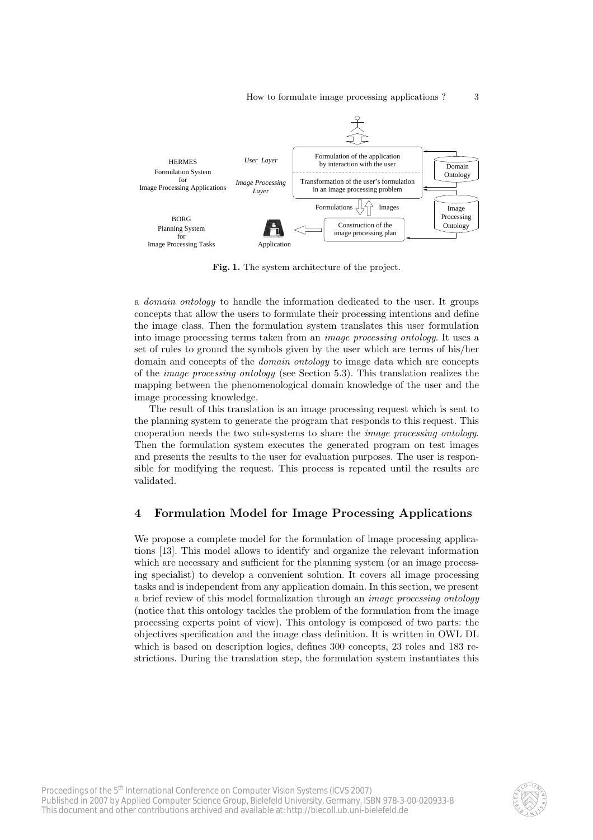

Fig. 1. The system architecture of the project.

a domain ontology to handle the information dedicated to the user. It groups concepts that allow the users to formulate their processing intentions and define the image class. Then the formulation system translates this user formulation into image processing terms taken from an image processing ontology. It uses a set of rules to ground the symbols given by the user which are terms of his/her domain and concepts of the domain ontology to image data which are concepts of the image processing ontology (see Section 5.3). This translation realizes the mapping between the phenomenological domain knowledge of the user and the image processing knowledge.

The result of this translation is an image processing request which is sent to the planning system to generate the program that responds to this request. This cooperation needs the two sub-systems to share the image processing ontology. Then the formulation system executes the generated program on test images and presents the results to the user for evaluation purposes. The user is responsible for modifying the request. This process is repeated until the results are validated.

## 4 Formulation Model for Image Processing Applications

We propose a complete model for the formulation of image processing applications [13]. This model allows to identify and organize the relevant information which are necessary and sufficient for the planning system (or an image processing specialist) to develop a convenient solution. It covers all image processing tasks and is independent from any application domain. In this section, we present a brief review of this model formalization through an image processing ontology (notice that this ontology tackles the problem of the formulation from the image processing experts point of view). This ontology is composed of two parts: the objectives specification and the image class definition. It is written in OWL DL which is based on description logics, defines 300 concepts, 23 roles and 183 restrictions. During the translation step, the formulation system instantiates this

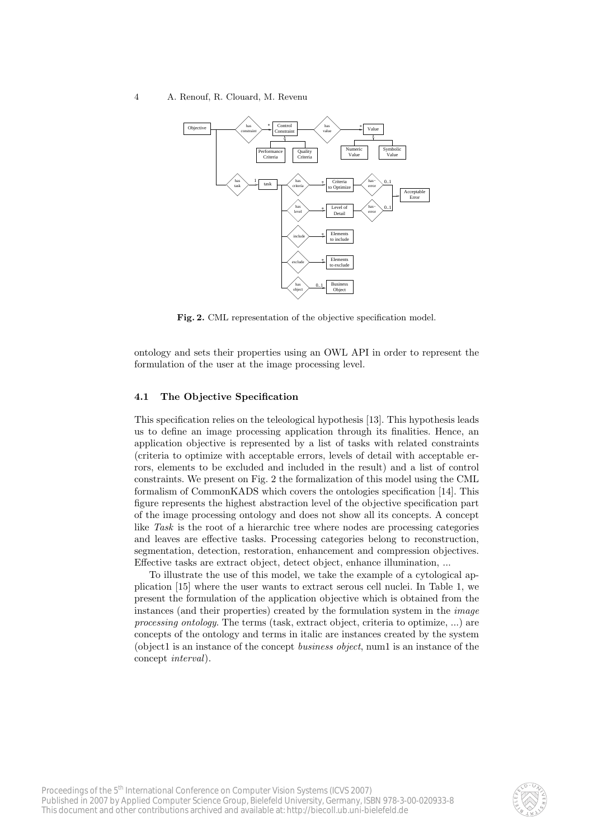

Fig. 2. CML representation of the objective specification model.

ontology and sets their properties using an OWL API in order to represent the formulation of the user at the image processing level.

#### 4.1 The Objective Specification

This specification relies on the teleological hypothesis [13]. This hypothesis leads us to define an image processing application through its finalities. Hence, an application objective is represented by a list of tasks with related constraints (criteria to optimize with acceptable errors, levels of detail with acceptable errors, elements to be excluded and included in the result) and a list of control constraints. We present on Fig. 2 the formalization of this model using the CML formalism of CommonKADS which covers the ontologies specification [14]. This figure represents the highest abstraction level of the objective specification part of the image processing ontology and does not show all its concepts. A concept like Task is the root of a hierarchic tree where nodes are processing categories and leaves are effective tasks. Processing categories belong to reconstruction, segmentation, detection, restoration, enhancement and compression objectives. Effective tasks are extract object, detect object, enhance illumination, ...

To illustrate the use of this model, we take the example of a cytological application [15] where the user wants to extract serous cell nuclei. In Table 1, we present the formulation of the application objective which is obtained from the instances (and their properties) created by the formulation system in the image processing ontology. The terms (task, extract object, criteria to optimize, ...) are concepts of the ontology and terms in italic are instances created by the system (object1 is an instance of the concept business object, num1 is an instance of the concept interval).

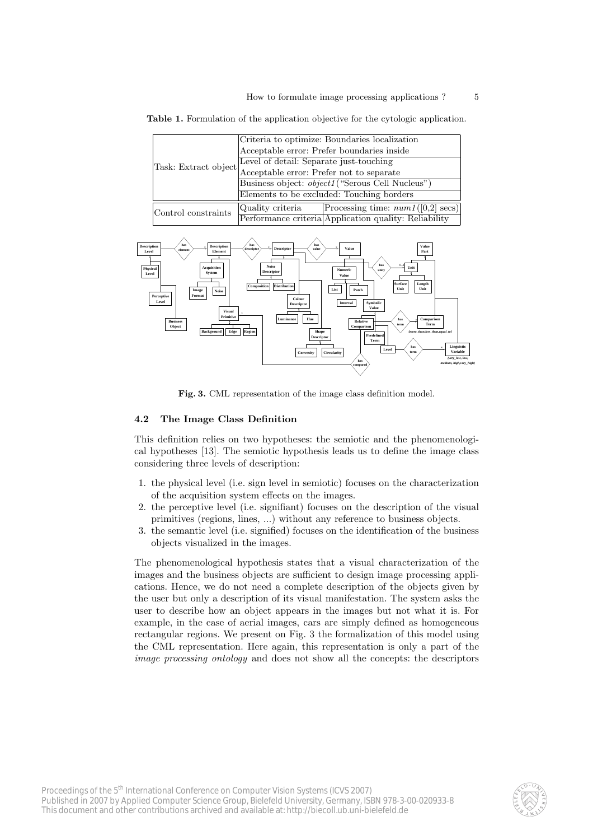Table 1. Formulation of the application objective for the cytologic application.

| Task: Extract object Level of detail: Separate just-touching<br>Acceptable error: Prefer not to separate | Criteria to optimize: Boundaries localization           |                                                       |  |  |
|----------------------------------------------------------------------------------------------------------|---------------------------------------------------------|-------------------------------------------------------|--|--|
|                                                                                                          | Acceptable error: Prefer boundaries inside              |                                                       |  |  |
|                                                                                                          |                                                         |                                                       |  |  |
|                                                                                                          |                                                         |                                                       |  |  |
|                                                                                                          | Business object: <i>object1</i> ("Serous Cell Nucleus") |                                                       |  |  |
|                                                                                                          | Elements to be excluded: Touching borders               |                                                       |  |  |
| Control constraints                                                                                      | Quality criteria                                        | Processing time: $num1([0,2]$ secs)                   |  |  |
|                                                                                                          |                                                         | Performance criteria Application quality: Reliability |  |  |



Fig. 3. CML representation of the image class definition model.

#### 4.2 The Image Class Definition

This definition relies on two hypotheses: the semiotic and the phenomenological hypotheses [13]. The semiotic hypothesis leads us to define the image class considering three levels of description:

- 1. the physical level (i.e. sign level in semiotic) focuses on the characterization of the acquisition system effects on the images.
- 2. the perceptive level (i.e. signifiant) focuses on the description of the visual primitives (regions, lines, ...) without any reference to business objects.
- 3. the semantic level (i.e. signified) focuses on the identification of the business objects visualized in the images.

The phenomenological hypothesis states that a visual characterization of the images and the business objects are sufficient to design image processing applications. Hence, we do not need a complete description of the objects given by the user but only a description of its visual manifestation. The system asks the user to describe how an object appears in the images but not what it is. For example, in the case of aerial images, cars are simply defined as homogeneous rectangular regions. We present on Fig. 3 the formalization of this model using the CML representation. Here again, this representation is only a part of the image processing ontology and does not show all the concepts: the descriptors

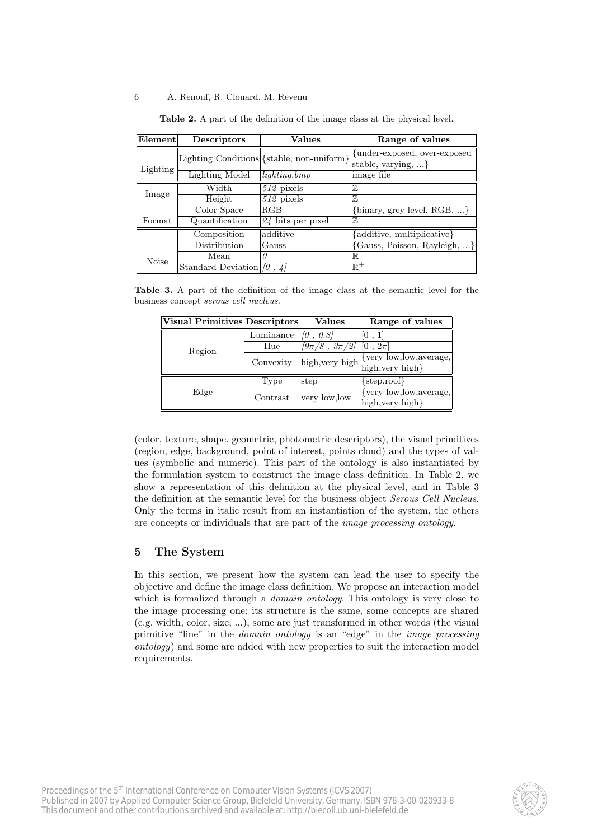| Element      | Descriptors                      | Values                                     | Range of values                                              |
|--------------|----------------------------------|--------------------------------------------|--------------------------------------------------------------|
|              |                                  | Lighting Conditions {{stable, non-uniform} | {under-exposed, over-exposed}<br>stable, varying, $\ldots$ } |
| Lighting     | Lighting Model                   | $lighting.$ bmp                            | limage file                                                  |
| Image        | Width                            | $512$ pixels                               | $\mathbb Z$                                                  |
|              | Height                           | $512$ pixels                               | $\mathbb{Z}$                                                 |
|              | Color Space                      | RGB                                        | {binary, grey level, $RGB, \ldots$ }                         |
| Format       | Quantification                   | $24$ bits per pixel                        | $\mathbb Z$                                                  |
|              | Composition                      | additive                                   | {additive, multiplicative}                                   |
|              | Distribution                     | Gauss                                      | {Gauss, Poisson, Rayleigh, }                                 |
| <b>Noise</b> | Mean                             | $\theta$                                   | $\mathbb R$                                                  |
|              | Standard Deviation $ 0\rangle$ . |                                            | $\mathbb{R}^+$                                               |

Table 2. A part of the definition of the image class at the physical level.

Table 3. A part of the definition of the image class at the semantic level for the business concept serous cell nucleus.

| Visual Primitives Descriptors |           | Values                                                                                                            | Range of values              |
|-------------------------------|-----------|-------------------------------------------------------------------------------------------------------------------|------------------------------|
| Region                        | Luminance | [0, 0.8]                                                                                                          | [0, 1]                       |
|                               | Hue       | $\sqrt{9\pi/8}$ , $3\pi\overline{2}\overline{1}$                                                                  | $\vert\vert 0$ , $2\pi\vert$ |
|                               | Convexity | $[\mathrm{high},\!\mathrm{very\ high}]\!\underset{\text{high},\!\mathrm{very\ high}}{\underbrace{\text{high}}}\}$ | {very low, low, average,     |
|                               |           |                                                                                                                   |                              |
| Edge                          | Type      | step                                                                                                              | $\{step, root\}$             |
|                               | Contrast  | very low, low                                                                                                     | {very low, low, average,     |
|                               |           |                                                                                                                   | high, very high}             |

(color, texture, shape, geometric, photometric descriptors), the visual primitives (region, edge, background, point of interest, points cloud) and the types of values (symbolic and numeric). This part of the ontology is also instantiated by the formulation system to construct the image class definition. In Table 2, we show a representation of this definition at the physical level, and in Table 3 the definition at the semantic level for the business object Serous Cell Nucleus. Only the terms in italic result from an instantiation of the system, the others are concepts or individuals that are part of the image processing ontology.

# 5 The System

In this section, we present how the system can lead the user to specify the objective and define the image class definition. We propose an interaction model which is formalized through a *domain ontology*. This ontology is very close to the image processing one: its structure is the same, some concepts are shared (e.g. width, color, size, ...), some are just transformed in other words (the visual primitive "line" in the *domain ontology* is an "edge" in the *image processing* ontology) and some are added with new properties to suit the interaction model requirements.

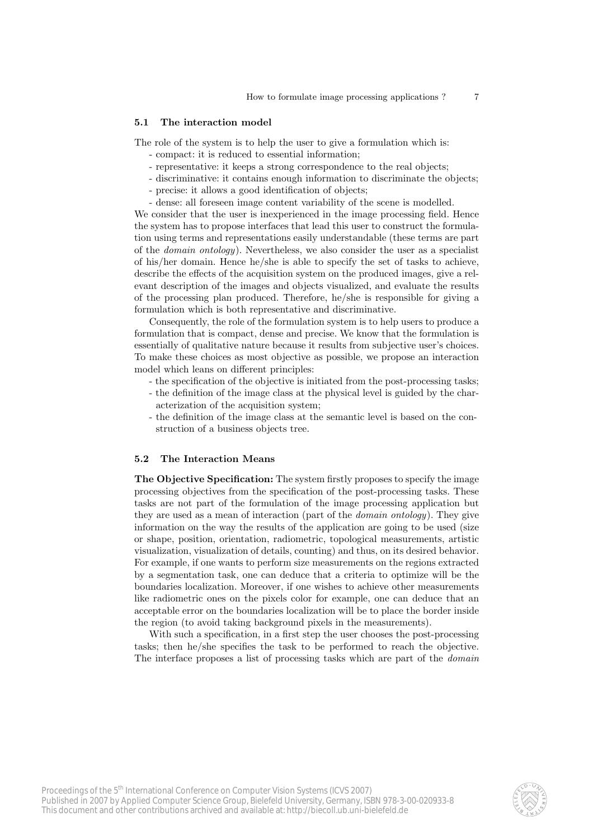#### 5.1 The interaction model

The role of the system is to help the user to give a formulation which is:

- compact: it is reduced to essential information;
- representative: it keeps a strong correspondence to the real objects;
- discriminative: it contains enough information to discriminate the objects;
- precise: it allows a good identification of objects;
- dense: all foreseen image content variability of the scene is modelled.

We consider that the user is inexperienced in the image processing field. Hence the system has to propose interfaces that lead this user to construct the formulation using terms and representations easily understandable (these terms are part of the domain ontology). Nevertheless, we also consider the user as a specialist of his/her domain. Hence he/she is able to specify the set of tasks to achieve, describe the effects of the acquisition system on the produced images, give a relevant description of the images and objects visualized, and evaluate the results of the processing plan produced. Therefore, he/she is responsible for giving a formulation which is both representative and discriminative.

Consequently, the role of the formulation system is to help users to produce a formulation that is compact, dense and precise. We know that the formulation is essentially of qualitative nature because it results from subjective user's choices. To make these choices as most objective as possible, we propose an interaction model which leans on different principles:

- the specification of the objective is initiated from the post-processing tasks;
- the definition of the image class at the physical level is guided by the characterization of the acquisition system;
- the definition of the image class at the semantic level is based on the construction of a business objects tree.

#### 5.2 The Interaction Means

The Objective Specification: The system firstly proposes to specify the image processing objectives from the specification of the post-processing tasks. These tasks are not part of the formulation of the image processing application but they are used as a mean of interaction (part of the domain ontology). They give information on the way the results of the application are going to be used (size or shape, position, orientation, radiometric, topological measurements, artistic visualization, visualization of details, counting) and thus, on its desired behavior. For example, if one wants to perform size measurements on the regions extracted by a segmentation task, one can deduce that a criteria to optimize will be the boundaries localization. Moreover, if one wishes to achieve other measurements like radiometric ones on the pixels color for example, one can deduce that an acceptable error on the boundaries localization will be to place the border inside the region (to avoid taking background pixels in the measurements).

With such a specification, in a first step the user chooses the post-processing tasks; then he/she specifies the task to be performed to reach the objective. The interface proposes a list of processing tasks which are part of the domain

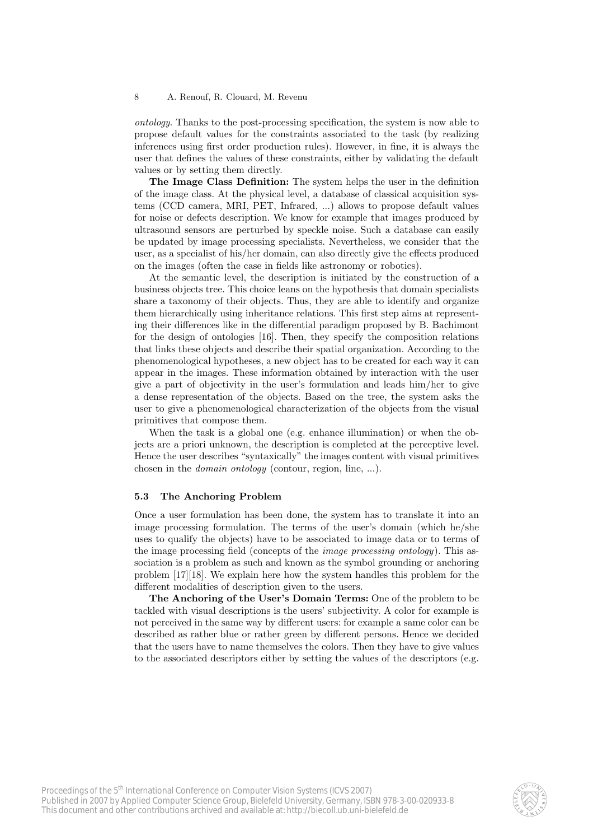ontology. Thanks to the post-processing specification, the system is now able to propose default values for the constraints associated to the task (by realizing inferences using first order production rules). However, in fine, it is always the user that defines the values of these constraints, either by validating the default values or by setting them directly.

The Image Class Definition: The system helps the user in the definition of the image class. At the physical level, a database of classical acquisition systems (CCD camera, MRI, PET, Infrared, ...) allows to propose default values for noise or defects description. We know for example that images produced by ultrasound sensors are perturbed by speckle noise. Such a database can easily be updated by image processing specialists. Nevertheless, we consider that the user, as a specialist of his/her domain, can also directly give the effects produced on the images (often the case in fields like astronomy or robotics).

At the semantic level, the description is initiated by the construction of a business objects tree. This choice leans on the hypothesis that domain specialists share a taxonomy of their objects. Thus, they are able to identify and organize them hierarchically using inheritance relations. This first step aims at representing their differences like in the differential paradigm proposed by B. Bachimont for the design of ontologies [16]. Then, they specify the composition relations that links these objects and describe their spatial organization. According to the phenomenological hypotheses, a new object has to be created for each way it can appear in the images. These information obtained by interaction with the user give a part of objectivity in the user's formulation and leads him/her to give a dense representation of the objects. Based on the tree, the system asks the user to give a phenomenological characterization of the objects from the visual primitives that compose them.

When the task is a global one (e.g. enhance illumination) or when the objects are a priori unknown, the description is completed at the perceptive level. Hence the user describes "syntaxically" the images content with visual primitives chosen in the domain ontology (contour, region, line, ...).

#### 5.3 The Anchoring Problem

Once a user formulation has been done, the system has to translate it into an image processing formulation. The terms of the user's domain (which he/she uses to qualify the objects) have to be associated to image data or to terms of the image processing field (concepts of the image processing ontology). This association is a problem as such and known as the symbol grounding or anchoring problem [17][18]. We explain here how the system handles this problem for the different modalities of description given to the users.

The Anchoring of the User's Domain Terms: One of the problem to be tackled with visual descriptions is the users' subjectivity. A color for example is not perceived in the same way by different users: for example a same color can be described as rather blue or rather green by different persons. Hence we decided that the users have to name themselves the colors. Then they have to give values to the associated descriptors either by setting the values of the descriptors (e.g.

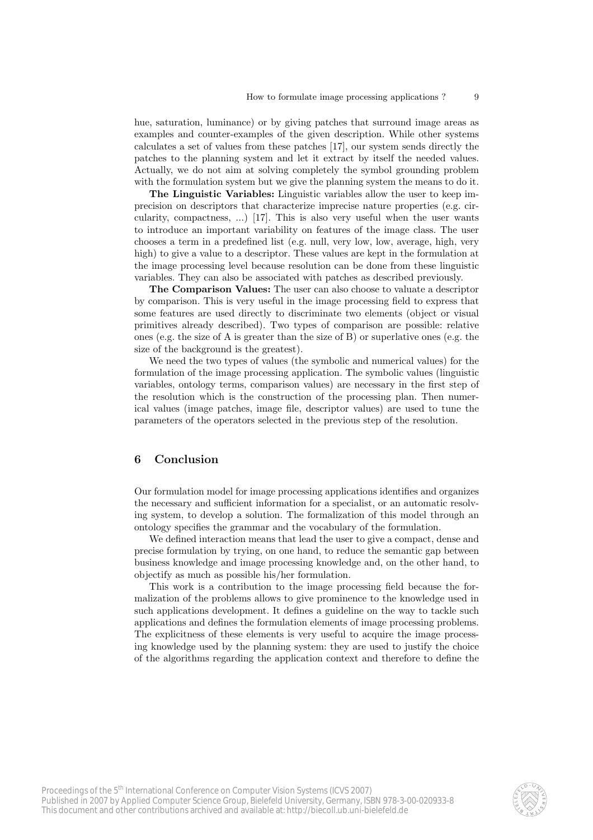hue, saturation, luminance) or by giving patches that surround image areas as examples and counter-examples of the given description. While other systems calculates a set of values from these patches [17], our system sends directly the patches to the planning system and let it extract by itself the needed values. Actually, we do not aim at solving completely the symbol grounding problem with the formulation system but we give the planning system the means to do it.

The Linguistic Variables: Linguistic variables allow the user to keep imprecision on descriptors that characterize imprecise nature properties (e.g. circularity, compactness, ...) [17]. This is also very useful when the user wants to introduce an important variability on features of the image class. The user chooses a term in a predefined list (e.g. null, very low, low, average, high, very high) to give a value to a descriptor. These values are kept in the formulation at the image processing level because resolution can be done from these linguistic variables. They can also be associated with patches as described previously.

The Comparison Values: The user can also choose to valuate a descriptor by comparison. This is very useful in the image processing field to express that some features are used directly to discriminate two elements (object or visual primitives already described). Two types of comparison are possible: relative ones (e.g. the size of A is greater than the size of B) or superlative ones (e.g. the size of the background is the greatest).

We need the two types of values (the symbolic and numerical values) for the formulation of the image processing application. The symbolic values (linguistic variables, ontology terms, comparison values) are necessary in the first step of the resolution which is the construction of the processing plan. Then numerical values (image patches, image file, descriptor values) are used to tune the parameters of the operators selected in the previous step of the resolution.

## 6 Conclusion

Our formulation model for image processing applications identifies and organizes the necessary and sufficient information for a specialist, or an automatic resolving system, to develop a solution. The formalization of this model through an ontology specifies the grammar and the vocabulary of the formulation.

We defined interaction means that lead the user to give a compact, dense and precise formulation by trying, on one hand, to reduce the semantic gap between business knowledge and image processing knowledge and, on the other hand, to objectify as much as possible his/her formulation.

This work is a contribution to the image processing field because the formalization of the problems allows to give prominence to the knowledge used in such applications development. It defines a guideline on the way to tackle such applications and defines the formulation elements of image processing problems. The explicitness of these elements is very useful to acquire the image processing knowledge used by the planning system: they are used to justify the choice of the algorithms regarding the application context and therefore to define the